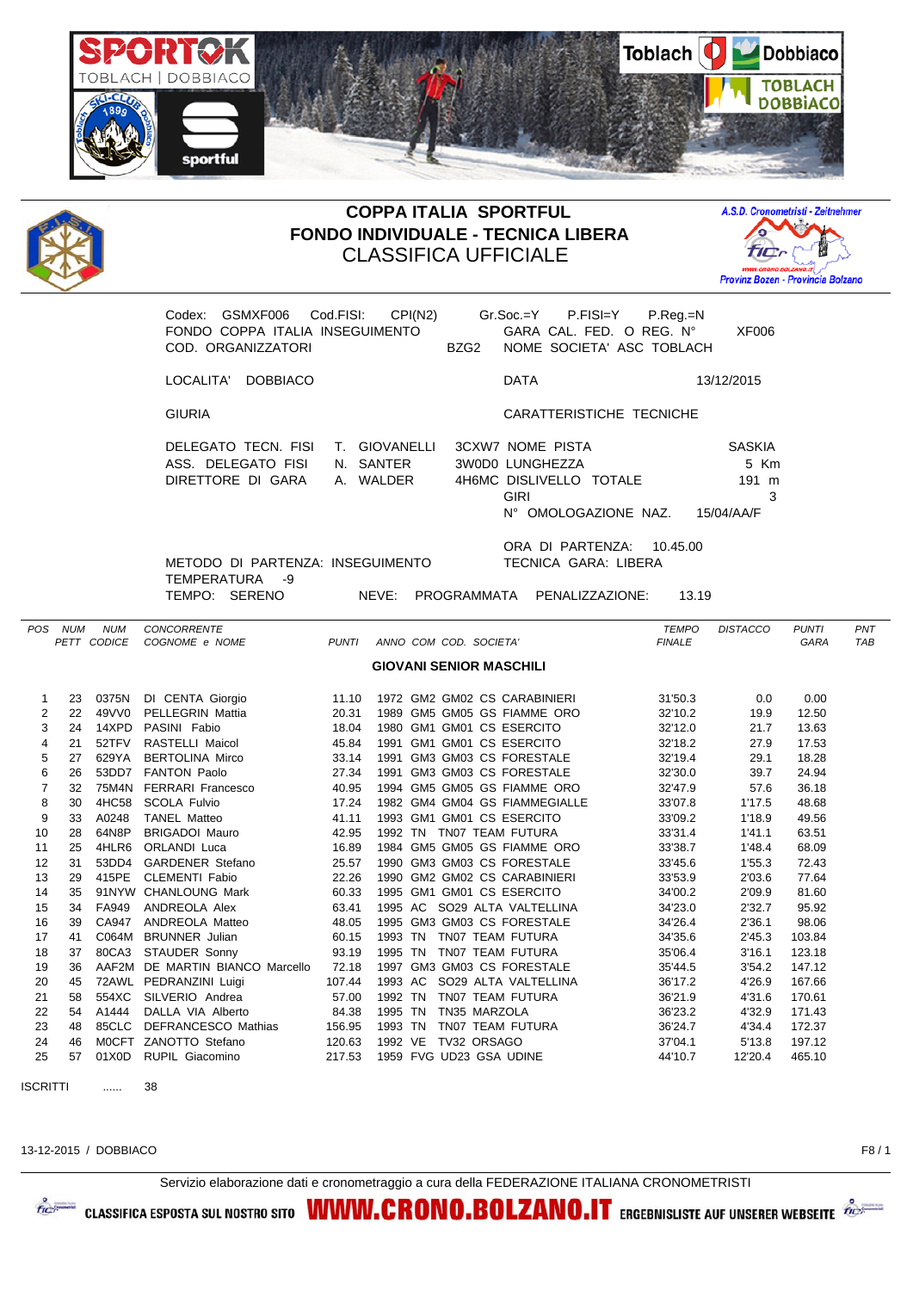



## **COPPA ITALIA SPORTFUL FONDO INDIVIDUALE - TECNICA LIBERA** CLASSIFICA UFFICIALE



Codex: GSMXF006 Cod.FISI: CPI(N2) Gr.Soc.=Y P.FISI=Y P.Reg.=N FONDO COPPA ITALIA INSEGUIMENTO GARA CAL. FED. O REG. N° XF006 COD. ORGANIZZATORI BZG2 NOME SOCIETA' ASC TOBLACH LOCALITA' DOBBIACO DATA 13/12/2015 GIURIA CARATTERISTICHE TECNICHE DELEGATO TECN. FISI T. GIOVANELLI 3CXW7 NOME PISTA SASKIA ASS. DELEGATO FISI N. SANTER 3W0D0 LUNGHEZZA 5 Km DIRETTORE DI GARA A. WALDER 4H6MC DISLIVELLO TOTALE 191 m GIRI 3 N° OMOLOGAZIONE NAZ. 15/04/AA/F ORA DI PARTENZA: 10.45.00 METODO DI PARTENZA: INSEGUIMENTO TECNICA GARA: LIBERA TEMPERATURA -9 TEMPO: SERENO NEVE: PROGRAMMATA PENALIZZAZIONE: 13.19 *POS NUM NUM CONCORRENTE TEMPO DISTACCO PUNTI PNT PETT CODICE COGNOME e NOME PUNTI ANNO COM COD. SOCIETA' FINALE GARA TAB* **GIOVANI SENIOR MASCHILI** 1 23 0375N DI CENTA Giorgio 11.10 1972 GM2 GM02 CS CARABINIERI 31'50.3 0.0 0.00 2 22 49VV0 PELLEGRIN Mattia 20.31 1989 GM5 GM05 GS FIAMME ORO 32'10.2 19.9 12.50<br>21 14XPD PASINI Fabio 18.04 1980 GM1 GM01 CS ESERCITO 32'12.0 21.7 13.63 3 24 14XPD PASINI Fabio 18.04 1980 GM1 GM01 CS ESERCITO 32'12.0 21.7 13.63 4 21 52TFV RASTELLI Maicol 45.84 1991 GM1 GM01 CS ESERCITO 32'18.2 27.9 17.53 5 27 629YA BERTOLINA Mirco 33.14 1991 GM3 GM03 CS FORESTALE 32'19.4 29.1 18.28 6 26 53DD7 FANTON Paolo 27.34 1991 GM3 GM03 CS FORESTALE 32'30.0 39.7 24.94 7 32 75M4N FERRARI Francesco 40.95 1994 GM5 GM05 GS FIAMME ORO 32'47.9 57.6 36.18 8 30 4HC58 SCOLA Fulvio 17.24 1982 GM4 GM04 GS FIAMMEGIALLE 33'07.8 1'17.5 48.68 9 33 A0248 TANEL Matteo 41.11 1993 GM1 GM01 CS ESERCITO 33'09.2 1'18.9 49.56 10 28 64N8P BRIGADOI Mauro 42.95 1992 TN TN07 TEAM FUTURA 33'31.4 1'41.1 63.51 11 25 4HLR6 ORLANDI Luca 16.89 1984 GM5 GM05 GS FIAMME ORO 33'38.7 1'48.4 68.09 12 31 53DD4 GARDENER Stefano 25.57 1990 GM3 GM03 CS FORESTALE 33'45.6 1'55.3 72.43 13 29 415PE CLEMENTI Fabio 22.26 1990 GM2 GM02 CS CARABINIERI 33'53.9 2'03.6 77.64 14 35 91NYW CHANLOUNG Mark 60.33 1995 GM1 GM01 CS ESERCITO 34'00.2 2'09.9 81.60 15 34 FA949 ANDREOLA Alex 63.41 1995 AC SO29 ALTA VALTELLINA 34'23.0 2'32.7 95.92 16 39 CA947 ANDREOLA Matteo 48.05 1995 GM3 GM03 CS FORESTALE 34'26.4 2'36.1 98.06 17 41 C064M BRUNNER Julian 60.15 1993 TN TN07 TEAM FUTURA 34'35.6 2'45.3 103.84 18 37 80CA3 STAUDER Sonny 93.19 1995 TN TN07 TEAM FUTURA 35'06.4 3'16.1 123.18 19 36 AAF2M DE MARTIN BIANCO Marcello 72.18 1997 GM3 GM03 CS FORESTALE 35'44.5 3'54.2 147.12 20 45 72AWL PEDRANZINI Luigi 107.44 1993 AC SO29 ALTA VALTELLINA 36'17.2 4'26.9 167.66 21 58 554XC SILVERIO Andrea 57.00 1992 TN TN07 TEAM FUTURA 36'21.9 4'31.6 170.61 22 54 A1444 DALLA VIA Alberto 84.38 1995 TN TN35 MARZOLA 36'23.2 4'32.9 171.43 23 48 85CLC DEFRANCESCO Mathias 156.95 1993 TN TN07 TEAM FUTURA 36'24.7 4'34.4 172.37 24 46 M0CFT ZANOTTO Stefano 120.63 1992 VE TV32 ORSAGO 37'04.1 5'13.8 197.12

ISCRITTI 38

13-12-2015 / DOBBIACO F8 / 1

## Servizio elaborazione dati e cronometraggio a cura della FEDERAZIONE ITALIANA CRONOMETRISTI

25 57 01X0D RUPIL Giacomino 217.53 1959 FVG UD23 GSA UDINE 44'10.7 12'20.4 465.10



CLASSIFICA ESPOSTA SUL NOSTRO SITO **WWW.CRONO.BOLZANO.IT** ERGEBNISLISTE AUF UNSERER WEBSEITE